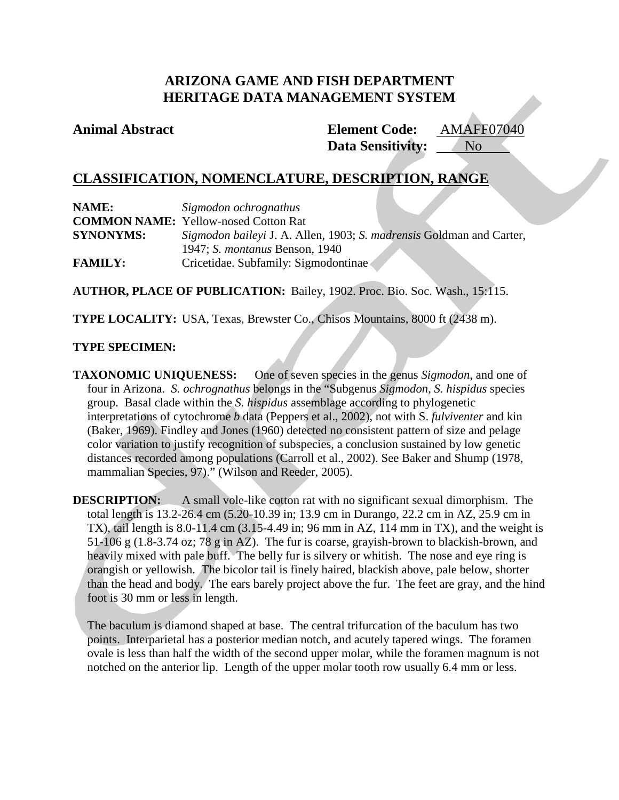# **ARIZONA GAME AND FISH DEPARTMENT HERITAGE DATA MANAGEMENT SYSTEM**

# **Animal Abstract Element Code:**

**Data Sensitivity:** AMAFF07040 No

# **CLASSIFICATION, NOMENCLATURE, DESCRIPTION, RANGE**

| NAME:            | Sigmodon ochrognathus                                                |  |
|------------------|----------------------------------------------------------------------|--|
|                  | <b>COMMON NAME:</b> Yellow-nosed Cotton Rat                          |  |
| <b>SYNONYMS:</b> | Sigmodon baileyi J. A. Allen, 1903; S. madrensis Goldman and Carter, |  |
|                  | 1947; S. <i>montanus</i> Benson, 1940                                |  |
| <b>FAMILY:</b>   | Cricetidae. Subfamily: Sigmodontinae                                 |  |

**AUTHOR, PLACE OF PUBLICATION:** Bailey, 1902. Proc. Bio. Soc. Wash., 15:115.

**TYPE LOCALITY:** USA, Texas, Brewster Co., Chisos Mountains, 8000 ft (2438 m).

## **TYPE SPECIMEN:**

**TAXONOMIC UNIQUENESS:** One of seven species in the genus *Sigmodon*, and one of four in Arizona. *S. ochrognathus* belongs in the "Subgenus *Sigmodon*, *S. hispidus* species group. Basal clade within the *S. hispidus* assemblage according to phylogenetic interpretations of cytochrome *b* data (Peppers et al., 2002), not with S. *fulviventer* and kin (Baker, 1969). Findley and Jones (1960) detected no consistent pattern of size and pelage color variation to justify recognition of subspecies, a conclusion sustained by low genetic distances recorded among populations (Carroll et al., 2002). See Baker and Shump (1978, mammalian Species, 97)." (Wilson and Reeder, 2005).

**DESCRIPTION:** A small vole-like cotton rat with no significant sexual dimorphism. The total length is 13.2-26.4 cm (5.20-10.39 in; 13.9 cm in Durango, 22.2 cm in AZ, 25.9 cm in TX), tail length is  $8.0-11.4$  cm  $(3.15-4.49)$  in; 96 mm in AZ, 114 mm in TX), and the weight is 51-106 g (1.8-3.74 oz; 78 g in AZ). The fur is coarse, grayish-brown to blackish-brown, and heavily mixed with pale buff. The belly fur is silvery or whitish. The nose and eye ring is orangish or yellowish. The bicolor tail is finely haired, blackish above, pale below, shorter than the head and body. The ears barely project above the fur. The feet are gray, and the hind foot is 30 mm or less in length.

The baculum is diamond shaped at base. The central trifurcation of the baculum has two points. Interparietal has a posterior median notch, and acutely tapered wings. The foramen ovale is less than half the width of the second upper molar, while the foramen magnum is not notched on the anterior lip. Length of the upper molar tooth row usually 6.4 mm or less.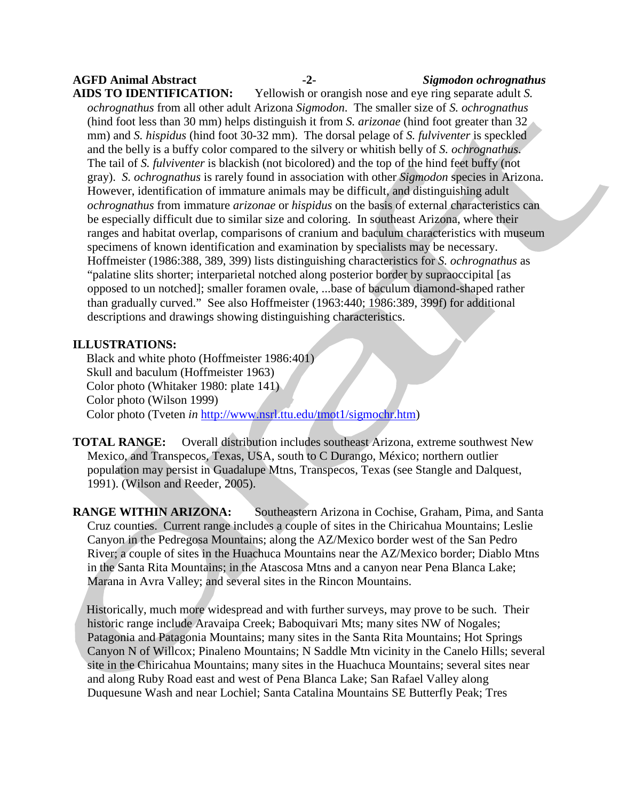# **AGFD Animal Abstract -2-** *Sigmodon ochrognathus*

**AIDS TO IDENTIFICATION:** Yellowish or orangish nose and eye ring separate adult *S. ochrognathus* from all other adult Arizona *Sigmodon*. The smaller size of *S. ochrognathus* (hind foot less than 30 mm) helps distinguish it from *S. arizonae* (hind foot greater than 32 mm) and *S. hispidus* (hind foot 30-32 mm). The dorsal pelage of *S. fulviventer* is speckled and the belly is a buffy color compared to the silvery or whitish belly of *S. ochrognathus*. The tail of *S. fulviventer* is blackish (not bicolored) and the top of the hind feet buffy (not gray). *S. ochrognathus* is rarely found in association with other *Sigmodon* species in Arizona. However, identification of immature animals may be difficult, and distinguishing adult *ochrognathus* from immature *arizonae* or *hispidus* on the basis of external characteristics can be especially difficult due to similar size and coloring. In southeast Arizona, where their ranges and habitat overlap, comparisons of cranium and baculum characteristics with museum specimens of known identification and examination by specialists may be necessary. Hoffmeister (1986:388, 389, 399) lists distinguishing characteristics for *S. ochrognathus* as "palatine slits shorter; interparietal notched along posterior border by supraoccipital [as opposed to un notched]; smaller foramen ovale, ...base of baculum diamond-shaped rather than gradually curved." See also Hoffmeister (1963:440; 1986:389, 399f) for additional descriptions and drawings showing distinguishing characteristics.

## **ILLUSTRATIONS:**

Black and white photo (Hoffmeister 1986:401) Skull and baculum (Hoffmeister 1963) Color photo (Whitaker 1980: plate 141) Color photo (Wilson 1999) Color photo (Tveten *in* [http://www.nsrl.ttu.edu/tmot1/sigmochr.htm\)](http://www.nsrl.ttu.edu/tmot1/sigmochr.htm)

**TOTAL RANGE:** Overall distribution includes southeast Arizona, extreme southwest New Mexico, and Transpecos, Texas, USA, south to C Durango, México; northern outlier population may persist in Guadalupe Mtns, Transpecos, Texas (see Stangle and Dalquest, 1991). (Wilson and Reeder, 2005).

**RANGE WITHIN ARIZONA:** Southeastern Arizona in Cochise, Graham, Pima, and Santa Cruz counties. Current range includes a couple of sites in the Chiricahua Mountains; Leslie Canyon in the Pedregosa Mountains; along the AZ/Mexico border west of the San Pedro River; a couple of sites in the Huachuca Mountains near the AZ/Mexico border; Diablo Mtns in the Santa Rita Mountains; in the Atascosa Mtns and a canyon near Pena Blanca Lake; Marana in Avra Valley; and several sites in the Rincon Mountains.

Historically, much more widespread and with further surveys, may prove to be such. Their historic range include Aravaipa Creek; Baboquivari Mts; many sites NW of Nogales; Patagonia and Patagonia Mountains; many sites in the Santa Rita Mountains; Hot Springs Canyon N of Willcox; Pinaleno Mountains; N Saddle Mtn vicinity in the Canelo Hills; several site in the Chiricahua Mountains; many sites in the Huachuca Mountains; several sites near and along Ruby Road east and west of Pena Blanca Lake; San Rafael Valley along Duquesune Wash and near Lochiel; Santa Catalina Mountains SE Butterfly Peak; Tres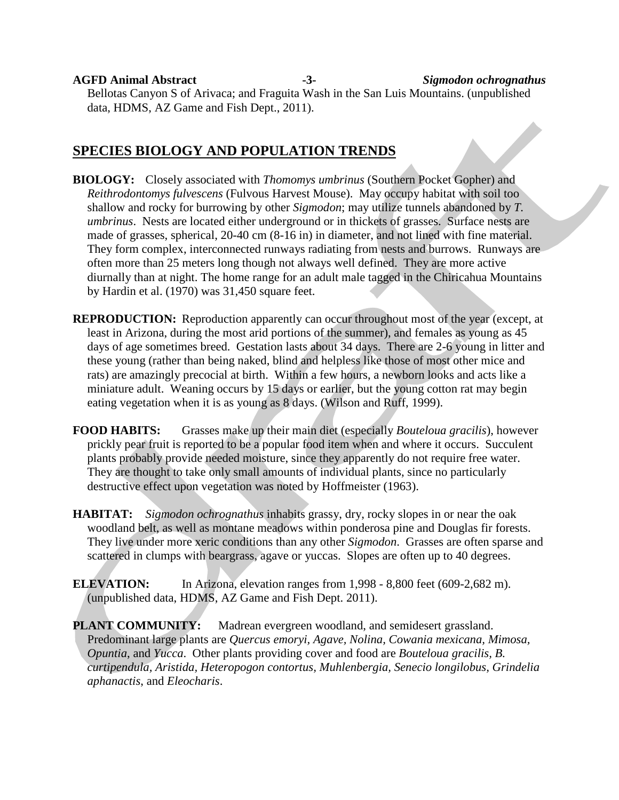**AGFD Animal Abstract -3-** *Sigmodon ochrognathus* Bellotas Canyon S of Arivaca; and Fraguita Wash in the San Luis Mountains. (unpublished data, HDMS, AZ Game and Fish Dept., 2011).

# **SPECIES BIOLOGY AND POPULATION TRENDS**

- **BIOLOGY:** Closely associated with *Thomomys umbrinus* (Southern Pocket Gopher) and *Reithrodontomys fulvescens* (Fulvous Harvest Mouse). May occupy habitat with soil too shallow and rocky for burrowing by other *Sigmodon*; may utilize tunnels abandoned by *T. umbrinus*. Nests are located either underground or in thickets of grasses. Surface nests are made of grasses, spherical, 20-40 cm (8-16 in) in diameter, and not lined with fine material. They form complex, interconnected runways radiating from nests and burrows. Runways are often more than 25 meters long though not always well defined. They are more active diurnally than at night. The home range for an adult male tagged in the Chiricahua Mountains by Hardin et al. (1970) was 31,450 square feet.
- **REPRODUCTION:** Reproduction apparently can occur throughout most of the year (except, at least in Arizona, during the most arid portions of the summer), and females as young as 45 days of age sometimes breed. Gestation lasts about 34 days. There are 2-6 young in litter and these young (rather than being naked, blind and helpless like those of most other mice and rats) are amazingly precocial at birth. Within a few hours, a newborn looks and acts like a miniature adult. Weaning occurs by 15 days or earlier, but the young cotton rat may begin eating vegetation when it is as young as 8 days. (Wilson and Ruff, 1999).
- **FOOD HABITS:** Grasses make up their main diet (especially *Bouteloua gracilis*), however prickly pear fruit is reported to be a popular food item when and where it occurs. Succulent plants probably provide needed moisture, since they apparently do not require free water. They are thought to take only small amounts of individual plants, since no particularly destructive effect upon vegetation was noted by Hoffmeister (1963).
- **HABITAT:** *Sigmodon ochrognathus* inhabits grassy, dry, rocky slopes in or near the oak woodland belt, as well as montane meadows within ponderosa pine and Douglas fir forests. They live under more xeric conditions than any other *Sigmodon*. Grasses are often sparse and scattered in clumps with beargrass, agave or yuccas. Slopes are often up to 40 degrees.
- **ELEVATION:** In Arizona, elevation ranges from 1,998 8,800 feet (609-2,682 m). (unpublished data, HDMS, AZ Game and Fish Dept. 2011).
- PLANT COMMUNITY: Madrean evergreen woodland, and semidesert grassland. Predominant large plants are *Quercus emoryi, Agave, Nolina, Cowania mexicana, Mimosa, Opuntia*, and *Yucca*. Other plants providing cover and food are *Bouteloua gracilis, B. curtipendula, Aristida, Heteropogon contortus, Muhlenbergia, Senecio longilobus, Grindelia aphanactis*, and *Eleocharis*.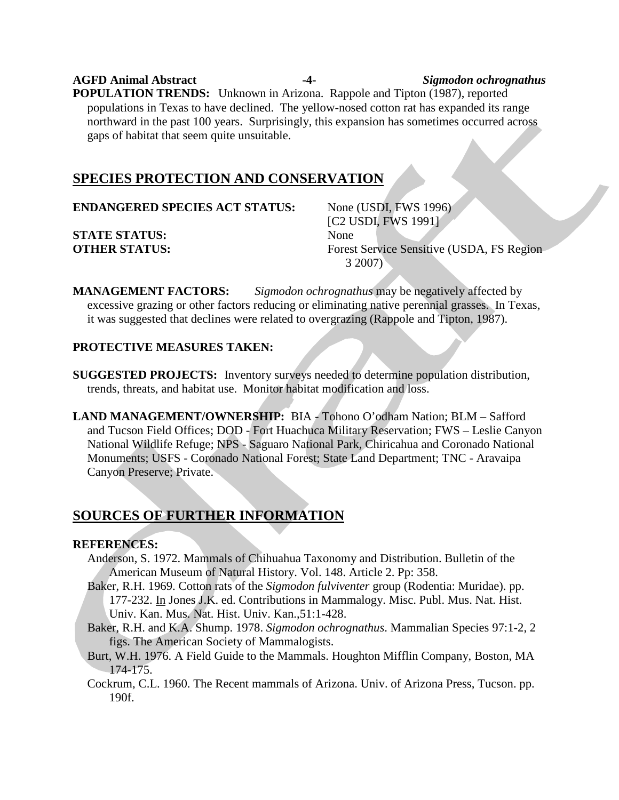**AGFD Animal Abstract -4-** *Sigmodon ochrognathus* **POPULATION TRENDS:** Unknown in Arizona. Rappole and Tipton (1987), reported populations in Texas to have declined. The yellow-nosed cotton rat has expanded its range northward in the past 100 years. Surprisingly, this expansion has sometimes occurred across gaps of habitat that seem quite unsuitable.

# **SPECIES PROTECTION AND CONSERVATION**

**ENDANGERED SPECIES ACT STATUS:** None (USDI, FWS 1996)

**STATE STATUS:** None

[C2 USDI, FWS 1991] **OTHER STATUS:** Forest Service Sensitive (USDA, FS Region 3 2007)

**MANAGEMENT FACTORS:** *Sigmodon ochrognathus* may be negatively affected by excessive grazing or other factors reducing or eliminating native perennial grasses. In Texas, it was suggested that declines were related to overgrazing (Rappole and Tipton, 1987).

# **PROTECTIVE MEASURES TAKEN:**

- **SUGGESTED PROJECTS:** Inventory surveys needed to determine population distribution, trends, threats, and habitat use. Monitor habitat modification and loss.
- **LAND MANAGEMENT/OWNERSHIP:** BIA Tohono O'odham Nation; BLM Safford and Tucson Field Offices; DOD - Fort Huachuca Military Reservation; FWS – Leslie Canyon National Wildlife Refuge; NPS - Saguaro National Park, Chiricahua and Coronado National Monuments; USFS - Coronado National Forest; State Land Department; TNC - Aravaipa Canyon Preserve; Private.

# **SOURCES OF FURTHER INFORMATION**

#### **REFERENCES:**

- Anderson, S. 1972. Mammals of Chihuahua Taxonomy and Distribution. Bulletin of the American Museum of Natural History. Vol. 148. Article 2. Pp: 358.
- Baker, R.H. 1969. Cotton rats of the *Sigmodon fulviventer* group (Rodentia: Muridae). pp. 177-232. *In Jones J.K. ed. Contributions in Mammalogy. Misc. Publ. Mus. Nat. Hist.* Univ. Kan. Mus. Nat. Hist. Univ. Kan.,51:1-428.
- Baker, R.H. and K.A. Shump. 1978. *Sigmodon ochrognathus*. Mammalian Species 97:1-2, 2 figs. The American Society of Mammalogists.
- Burt, W.H. 1976. A Field Guide to the Mammals. Houghton Mifflin Company, Boston, MA 174-175.
- Cockrum, C.L. 1960. The Recent mammals of Arizona. Univ. of Arizona Press, Tucson. pp. 190f.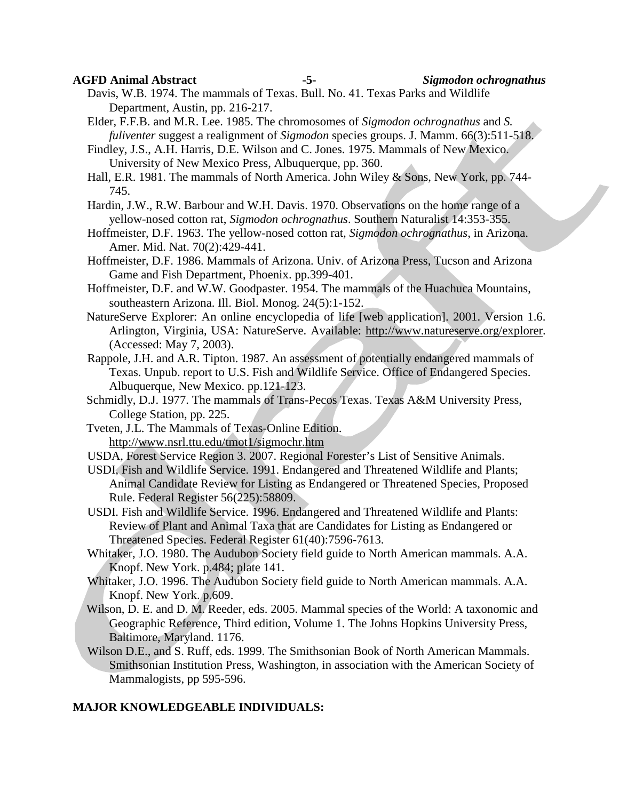**AGFD Animal Abstract -5-** *Sigmodon ochrognathus*

Davis, W.B. 1974. The mammals of Texas. Bull. No. 41. Texas Parks and Wildlife Department, Austin, pp. 216-217.

Elder, F.F.B. and M.R. Lee. 1985. The chromosomes of *Sigmodon ochrognathus* and *S. fuliventer* suggest a realignment of *Sigmodon* species groups. J. Mamm. 66(3):511-518.

Findley, J.S., A.H. Harris, D.E. Wilson and C. Jones. 1975. Mammals of New Mexico. University of New Mexico Press, Albuquerque, pp. 360.

Hall, E.R. 1981. The mammals of North America. John Wiley & Sons, New York, pp. 744- 745.

Hardin, J.W., R.W. Barbour and W.H. Davis. 1970. Observations on the home range of a yellow-nosed cotton rat, *Sigmodon ochrognathus*. Southern Naturalist 14:353-355.

Hoffmeister, D.F. 1963. The yellow-nosed cotton rat, *Sigmodon ochrognathus*, in Arizona. Amer. Mid. Nat. 70(2):429-441.

- Hoffmeister, D.F. 1986. Mammals of Arizona. Univ. of Arizona Press, Tucson and Arizona Game and Fish Department, Phoenix. pp.399-401.
- Hoffmeister, D.F. and W.W. Goodpaster. 1954. The mammals of the Huachuca Mountains, southeastern Arizona. Ill. Biol. Monog. 24(5):1-152.
- NatureServe Explorer: An online encyclopedia of life [web application]. 2001. Version 1.6. Arlington, Virginia, USA: NatureServe. Available: [http://www.natureserve.org/explorer.](http://www.natureserve.org/explorer) (Accessed: May 7, 2003).
- Rappole, J.H. and A.R. Tipton. 1987. An assessment of potentially endangered mammals of Texas. Unpub. report to U.S. Fish and Wildlife Service. Office of Endangered Species. Albuquerque, New Mexico. pp.121-123.
- Schmidly, D.J. 1977. The mammals of Trans-Pecos Texas. Texas A&M University Press, College Station, pp. 225.
- Tveten, J.L. The Mammals of Texas-Online Edition. <http://www.nsrl.ttu.edu/tmot1/sigmochr.htm>
- USDA, Forest Service Region 3. 2007. Regional Forester's List of Sensitive Animals.
- USDI, Fish and Wildlife Service. 1991. Endangered and Threatened Wildlife and Plants; Animal Candidate Review for Listing as Endangered or Threatened Species, Proposed Rule. Federal Register 56(225):58809.
- USDI. Fish and Wildlife Service. 1996. Endangered and Threatened Wildlife and Plants: Review of Plant and Animal Taxa that are Candidates for Listing as Endangered or Threatened Species. Federal Register 61(40):7596-7613.
- Whitaker, J.O. 1980. The Audubon Society field guide to North American mammals. A.A. Knopf. New York. p.484; plate 141.
- Whitaker, J.O. 1996. The Audubon Society field guide to North American mammals. A.A. Knopf. New York. p.609.
- Wilson, D. E. and D. M. Reeder, eds. 2005. Mammal species of the World: A taxonomic and Geographic Reference, Third edition, Volume 1. The Johns Hopkins University Press, Baltimore, Maryland. 1176.
- Wilson D.E., and S. Ruff, eds. 1999. The Smithsonian Book of North American Mammals. Smithsonian Institution Press, Washington, in association with the American Society of Mammalogists, pp 595-596.

#### **MAJOR KNOWLEDGEABLE INDIVIDUALS:**